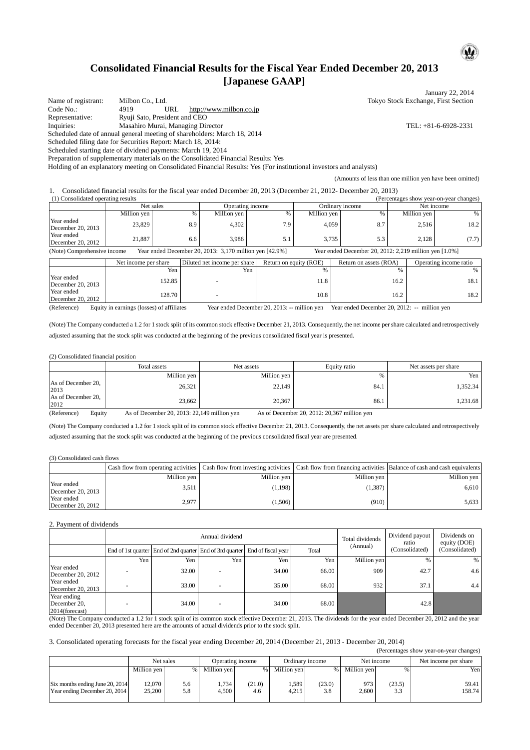# **Consolidated Financial Results for the Fiscal Year Ended December 20, 2013 [Japanese GAAP]**

January 22, 2014 Name of registrant: Milbon Co., Ltd. Tokyo Stock Exchange, First Section Code No.: 4919 URL http://www.milbon.co.jp<br>
Representative: Ryuji Sato, President and CEO Ryuji Sato, President and CEO Inquiries: Masahiro Murai, Managing Director TEL: +81-6-6928-2331 Scheduled date of annual general meeting of shareholders: March 18, 2014 Scheduled filing date for Securities Report: March 18, 2014: Scheduled starting date of dividend payments: March 19, 2014 Preparation of supplementary materials on the Consolidated Financial Results: Yes

Holding of an explanatory meeting on Consolidated Financial Results: Yes (For institutional investors and analysts)

(Amounts of less than one million yen have been omitted)

1. Consolidated financial results for the fiscal year ended December 20, 2013 (December 21, 2012- December 20, 2013)  $\overline{P}$  (Percentages show year-on-year changes)

|                                                                                          | TT Consonuatuu operatme resurts<br>$(1 \text{ calculations})$ show you -on-your changes) |     |                  |                                                          |                 |     |             |       |
|------------------------------------------------------------------------------------------|------------------------------------------------------------------------------------------|-----|------------------|----------------------------------------------------------|-----------------|-----|-------------|-------|
|                                                                                          | Net sales                                                                                |     | Operating income |                                                          | Ordinary income |     | Net income  |       |
|                                                                                          | Million ven                                                                              |     | Million yen      |                                                          | Million yen     |     | Million yen | %     |
| Year ended<br>December 20, 2013                                                          | 23,829                                                                                   | 8.9 | 4.302            | 7.9                                                      | 4.059           | 8.7 | 2.516       | 18.2  |
| Year ended<br>December 20, 2012                                                          | 21.887                                                                                   | 6.6 | 3.986            | ر ر                                                      | 3.735           | 5.3 | 2.128       | (7.7) |
| (Note) Comprehensive income<br>Year ended December 20, 2013: $3,170$ million ven [42,9%] |                                                                                          |     |                  | Year ended December 20, 2012: $2.219$ million ven [1.0%] |                 |     |             |       |

ber 20, 2013: 3,170 million yen [42.9%]

|                                 | Net income per share | Diluted net income per share | Return on equity (ROE)          | Return on assets (ROA) | Operating income ratio |
|---------------------------------|----------------------|------------------------------|---------------------------------|------------------------|------------------------|
|                                 | Yen                  | Yen                          |                                 |                        | %                      |
| Year ended<br>December 20, 2013 | 152.85               |                              | 11.8                            | 16.2                   | 18.1                   |
| Year ended<br>December 20, 2012 | 128.70               |                              | 10.8                            | 16.2                   | 18.2                   |
|                                 | $\alpha$ $\alpha$    | $ -$                         | $\sim$ $\sim$ $\sim$ $\sim$<br> | $ -$                   |                        |

(Reference) Equity in earnings (losses) of affiliates Year ended December 20, 2013: -- million yen Year ended December 20, 2012: -- million yen

(Note) The Company conducted a 1.2 for 1 stock split of its common stock effective December 21, 2013. Consequently, the net income per share calculated and retrospectively adjusted assuming that the stock split was conducted at the beginning of the previous consolidated fiscal year is presented.

#### (2) Consolidated financial position

|                            | Total assets | Net assets  | Equity ratio | Net assets per share |
|----------------------------|--------------|-------------|--------------|----------------------|
|                            | Million yen  | Million yen | 0/2<br>7 U   | Yen                  |
| As of December 20,<br>2013 | 26,321       | 22,149      | 84.1         | 1,352.34             |
| As of December 20,<br>2012 | 23,662       | 20,367      | 86.1         | 1,231.68             |

(Reference) Equity As of December 20, 2013: 22,149 million yen As of December 20, 2012: 20,367 million yen

(Note) The Company conducted a 1.2 for 1 stock split of its common stock effective December 21, 2013. Consequently, the net assets per share calculated and retrospectively adjusted assuming that the stock split was conducted at the beginning of the previous consolidated fiscal year are presented.

#### (3) Consolidated cash flows

|                                   |             |             |             | Cash flow from operating activities Cash flow from investing activities Cash flow from financing activities Balance of cash and cash equivalents |
|-----------------------------------|-------------|-------------|-------------|--------------------------------------------------------------------------------------------------------------------------------------------------|
|                                   | Million ven | Million ven | Million ven | Million ven                                                                                                                                      |
| Year ended<br>December 20, 2013   | 3.511       | (1, 198)    | (1.387)     | 6.610                                                                                                                                            |
| Year ended<br>December 20, $2012$ | 2.977       | (1,506)     | (910)       | 5.633                                                                                                                                            |

#### 2. Payment of dividends

|                                                  |     |                                                                             | Annual dividend          |       |       | Total dividends | Dividend payout<br>ratio | Dividends on<br>equity (DOE) |  |
|--------------------------------------------------|-----|-----------------------------------------------------------------------------|--------------------------|-------|-------|-----------------|--------------------------|------------------------------|--|
|                                                  |     | End of 1st quarter End of 2nd quarter End of 3rd quarter End of fiscal year |                          |       | Total | (Annual)        | (Consolidated)           | (Consolidated)               |  |
|                                                  | Yen | Yen                                                                         | Yen                      | Yen   | Yen   | Million yen     | $\frac{0}{0}$            | %                            |  |
| Year ended<br>December 20, 2012                  |     | 32.00                                                                       |                          | 34.00 | 66.00 | 909             | 42.7                     | 4.6                          |  |
| Year ended<br>December 20, 2013                  |     | 33.00                                                                       |                          | 35.00 | 68.00 | 932             | 37.1                     | 4.4                          |  |
| Year ending<br>December 20,<br>$2014$ (forecast) |     | 34.00                                                                       | $\overline{\phantom{0}}$ | 34.00 | 68.00 |                 | 42.8                     |                              |  |

(Note) The Company conducted a 1.2 for 1 stock split of its common stock effective December 21, 2013. The dividends for the year ended December 20, 2012 and the year ended December 20, 2013 presented here are the amounts of actual dividends prior to the stock split.

3. Consolidated operating forecasts for the fiscal year ending December 20, 2014 (December 21, 2013 - December 20, 2014)

|                                 |             |           |             |                  |                 |        |             |        | (Percentages show year-on-year changes) |
|---------------------------------|-------------|-----------|-------------|------------------|-----------------|--------|-------------|--------|-----------------------------------------|
|                                 |             | Net sales |             | Operating income | Ordinary income |        | Net income  |        | Net income per share                    |
|                                 | Million yen | %         | Million yen | $%$ 1            | Million ven     | $\%$   | Million ven | OZ.    | Yen                                     |
| Six months ending June 20, 2014 | 12.070      | 5.6       | .734        | (21.0)           | 1.589           | (23.0) | 973         | (23.5) | 59.41                                   |
| Year ending December 20, 2014   | 25,200      | 5.8       | 4.500       | 4.6              | 4.215           | 3.8    | 2.600       | 3.3    | 158.74                                  |

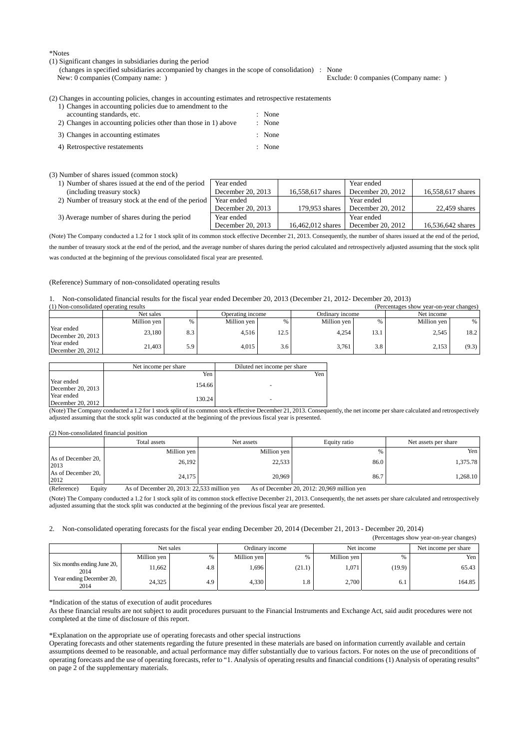\*Notes

### (1) Significant changes in subsidiaries during the period

(changes in specified subsidiaries accompanied by changes in the scope of consolidation) : None

Exclude: 0 companies (Company name: )

(2) Changes in accounting policies, changes in accounting estimates and retrospective restatements

| 1) Changes in accounting policies due to amendment to the      |        |
|----------------------------------------------------------------|--------|
| accounting standards, etc.                                     | : None |
| 2) Changes in accounting policies other than those in 1) above | : None |
| 3) Changes in accounting estimates                             | : None |
| 4) Retrospective restatements                                  | : None |

#### (3) Number of shares issued (common stock)

| 1) Number of shares issued at the end of the period  | Year ended        |                   | Year ended        |                   |
|------------------------------------------------------|-------------------|-------------------|-------------------|-------------------|
| (including treasury stock)                           | December 20, 2013 | 16,558,617 shares | December 20, 2012 | 16,558,617 shares |
| 2) Number of treasury stock at the end of the period | Year ended        |                   | Year ended        |                   |
|                                                      | December 20, 2013 | 179,953 shares    | December 20, 2012 | 22.459 shares     |
| 3) Average number of shares during the period        | Year ended        |                   | Year ended        |                   |
|                                                      | December 20, 2013 | 16,462,012 shares | December 20, 2012 | 16,536,642 shares |

(Note) The Company conducted a 1.2 for 1 stock split of its common stock effective December 21, 2013. Consequently, the number of shares issued at the end of the period, the number of treasury stock at the end of the period, and the average number of shares during the period calculated and retrospectively adjusted assuming that the stock split was conducted at the beginning of the previous consolidated fiscal year are presented.

### (Reference) Summary of non-consolidated operating results

#### 1. Non-consolidated financial results for the fiscal year ended December 20, 2013 (December 21, 2012- December 20, 2013)

|                                 | (1) Non-consolidated operating results<br>(Percentages show vear-on-vear changes) |     |                  |      |                 |      |             |       |  |
|---------------------------------|-----------------------------------------------------------------------------------|-----|------------------|------|-----------------|------|-------------|-------|--|
|                                 | Net sales                                                                         |     | Operating income |      | Ordinary income |      | Net income  |       |  |
|                                 | Million yen                                                                       |     | Million yen      |      | Million ven     |      | Million ven | $\%$  |  |
| Year ended<br>December 20, 2013 | 23.180                                                                            | 8.3 | 4.516            | 12.5 | 4.254           | 13.1 | 2.545       | 18.2  |  |
| Year ended<br>December 20, 2012 | 21.403                                                                            | 5.9 | 4.015            | 3.6  | 3.761           | 3.8  | 2,153       | (9.3) |  |

|                                 | Net income per share | Diluted net income per share |
|---------------------------------|----------------------|------------------------------|
|                                 | Yen                  | Yen                          |
| Year ended<br>December 20, 2013 | 154.66               | -                            |
| Year ended<br>December 20, 2012 | 130.24               | ۰                            |

(Note) The Company conducted a 1.2 for 1 stock split of its common stock effective December 21, 2013. Consequently, the net income per share calculated and retrospectively adjusted assuming that the stock split was conducted at the beginning of the previous fiscal year is presented.

### (2) Non-consolidated financial position

|                            | Total assets | Net assets  | Equity ratio | Net assets per share |
|----------------------------|--------------|-------------|--------------|----------------------|
|                            | Million yen  | Million yen | %            | Yen                  |
| As of December 20,<br>2013 | 26,192       | 22,533      | 86.0         | 1,375.78             |
| As of December 20,<br>2012 | 24,175       | 20,969      | 86.7         | 1,268.10             |

(Reference) Equity As of December 20, 2013: 22,533 million yen As of December 20, 2012: 20,969 million yen

(Note) The Company conducted a 1.2 for 1 stock split of its common stock effective December 21, 2013. Consequently, the net assets per share calculated and retrospectively adjusted assuming that the stock split was conducted at the beginning of the previous fiscal year are presented.

### 2. Non-consolidated operating forecasts for the fiscal year ending December 20, 2014 (December 21, 2013 - December 20, 2014)

|                                    |             |           |             |                 |             |            | (Percentages show year-on-year changes) |
|------------------------------------|-------------|-----------|-------------|-----------------|-------------|------------|-----------------------------------------|
|                                    |             | Net sales |             | Ordinary income |             | Net income | Net income per share                    |
|                                    | Million yen | %         | Million yen | %               | Million yen |            | Yen I                                   |
| Six months ending June 20,<br>2014 | 11,662      | 4.8       | 1,696       | (21.1)          | 1,071       | (19.9)     | 65.43                                   |
| Year ending December 20,<br>2014   | 24,325      | 4.9       | 4,330       | 1.8             | 2,700       | 6.1        | 164.85                                  |

\*Indication of the status of execution of audit procedures

As these financial results are not subject to audit procedures pursuant to the Financial Instruments and Exchange Act, said audit procedures were not completed at the time of disclosure of this report.

\*Explanation on the appropriate use of operating forecasts and other special instructions

Operating forecasts and other statements regarding the future presented in these materials are based on information currently available and certain assumptions deemed to be reasonable, and actual performance may differ substantially due to various factors. For notes on the use of preconditions of operating forecasts and the use of operating forecasts, refer to "1. Analysis of operating results and financial conditions (1) Analysis of operating results" on page 2 of the supplementary materials.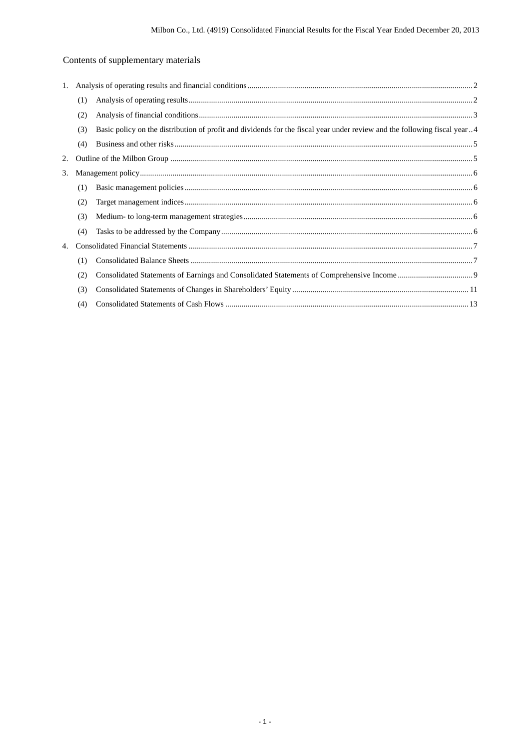# Contents of supplementary materials

| 1. |     |                                                                                                                          |  |
|----|-----|--------------------------------------------------------------------------------------------------------------------------|--|
|    | (1) |                                                                                                                          |  |
|    | (2) |                                                                                                                          |  |
|    | (3) | Basic policy on the distribution of profit and dividends for the fiscal year under review and the following fiscal year4 |  |
|    | (4) |                                                                                                                          |  |
| 2. |     |                                                                                                                          |  |
| 3. |     |                                                                                                                          |  |
|    | (1) |                                                                                                                          |  |
|    | (2) |                                                                                                                          |  |
|    | (3) |                                                                                                                          |  |
|    | (4) |                                                                                                                          |  |
| 4. |     |                                                                                                                          |  |
|    | (1) |                                                                                                                          |  |
|    | (2) |                                                                                                                          |  |
|    | (3) |                                                                                                                          |  |
|    | (4) |                                                                                                                          |  |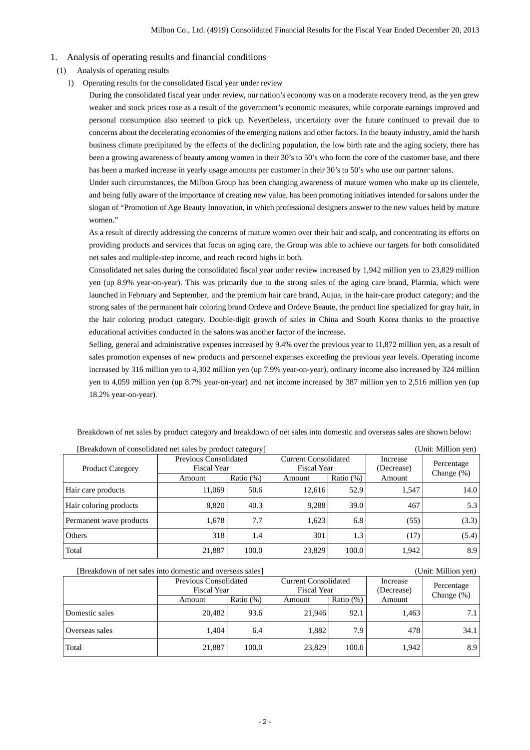## 1. Analysis of operating results and financial conditions

- (1) Analysis of operating results
	- 1) Operating results for the consolidated fiscal year under review

During the consolidated fiscal year under review, our nation's economy was on a moderate recovery trend, as the yen grew weaker and stock prices rose as a result of the government's economic measures, while corporate earnings improved and personal consumption also seemed to pick up. Nevertheless, uncertainty over the future continued to prevail due to concerns about the decelerating economies of the emerging nations and other factors. In the beauty industry, amid the harsh business climate precipitated by the effects of the declining population, the low birth rate and the aging society, there has been a growing awareness of beauty among women in their 30's to 50's who form the core of the customer base, and there has been a marked increase in yearly usage amounts per customer in their 30's to 50's who use our partner salons.

Under such circumstances, the Milbon Group has been changing awareness of mature women who make up its clientele, and being fully aware of the importance of creating new value, has been promoting initiatives intended for salons under the slogan of "Promotion of Age Beauty Innovation, in which professional designers answer to the new values held by mature women."

As a result of directly addressing the concerns of mature women over their hair and scalp, and concentrating its efforts on providing products and services that focus on aging care, the Group was able to achieve our targets for both consolidated net sales and multiple-step income, and reach record highs in both.

Consolidated net sales during the consolidated fiscal year under review increased by 1,942 million yen to 23,829 million yen (up 8.9% year-on-year). This was primarily due to the strong sales of the aging care brand, Plarmia, which were launched in February and September, and the premium hair care brand, Aujua, in the hair-care product category; and the strong sales of the permanent hair coloring brand Ordeve and Ordeve Beaute, the product line specialized for gray hair, in the hair coloring product category. Double-digit growth of sales in China and South Korea thanks to the proactive educational activities conducted in the salons was another factor of the increase.

Selling, general and administrative expenses increased by 9.4% over the previous year to 11,872 million yen, as a result of sales promotion expenses of new products and personnel expenses exceeding the previous year levels. Operating income increased by 316 million yen to 4,302 million yen (up 7.9% year-on-year), ordinary income also increased by 324 million yen to 4,059 million yen (up 8.7% year-on-year) and net income increased by 387 million yen to 2,516 million yen (up 18.2% year-on-year).

| [Breakdown of consolidated net sales by product category] |                       |              |                             | (Unit: Million yen) |                        |                             |
|-----------------------------------------------------------|-----------------------|--------------|-----------------------------|---------------------|------------------------|-----------------------------|
|                                                           | Previous Consolidated |              | <b>Current Consolidated</b> |                     | Increase<br>(Decrease) | Percentage<br>Change $(\%)$ |
| <b>Product Category</b>                                   | <b>Fiscal Year</b>    |              | Fiscal Year                 |                     |                        |                             |
|                                                           | Amount                | Ratio $(\%)$ | Amount                      | Ratio $(\%)$        | Amount                 |                             |
| Hair care products                                        | 11.069                | 50.6         | 12.616                      | 52.9                | 1.547                  | 14.0                        |
| Hair coloring products                                    | 8,820                 | 40.3         | 9.288                       | 39.0                | 467                    | 5.3                         |
| Permanent wave products                                   | 1,678                 | 7.7          | 1,623                       | 6.8                 | (55)                   | (3.3)                       |
| Others                                                    | 318                   | 1.4          | 301                         | 1.3                 | (17)                   | (5.4)                       |
| Total                                                     | 21,887                | 100.0        | 23,829                      | 100.0               | 1,942                  | 8.9                         |

Breakdown of net sales by product category and breakdown of net sales into domestic and overseas sales are shown below:

| (Unit: Million yen)<br>[Breakdown of net sales into domestic and overseas sales] |                                             |              |                                            |              |                        |               |  |
|----------------------------------------------------------------------------------|---------------------------------------------|--------------|--------------------------------------------|--------------|------------------------|---------------|--|
|                                                                                  | Previous Consolidated<br><b>Fiscal Year</b> |              | Current Consolidated<br><b>Fiscal Year</b> |              | Increase<br>(Decrease) | Percentage    |  |
|                                                                                  | Amount                                      | Ratio $(\%)$ | Amount                                     | Ratio $(\%)$ | Amount                 | Change $(\%)$ |  |
| Domestic sales                                                                   | 20.482                                      | 93.6         | 21,946                                     | 92.1         | 1,463                  | 7.1           |  |
| Overseas sales                                                                   | 1.404                                       | 6.4          | 1,882                                      | 7.9          | 478                    | 34.1          |  |
| Total                                                                            | 21,887                                      | 100.0        | 23,829                                     | 100.0        | 1,942                  | 8.9           |  |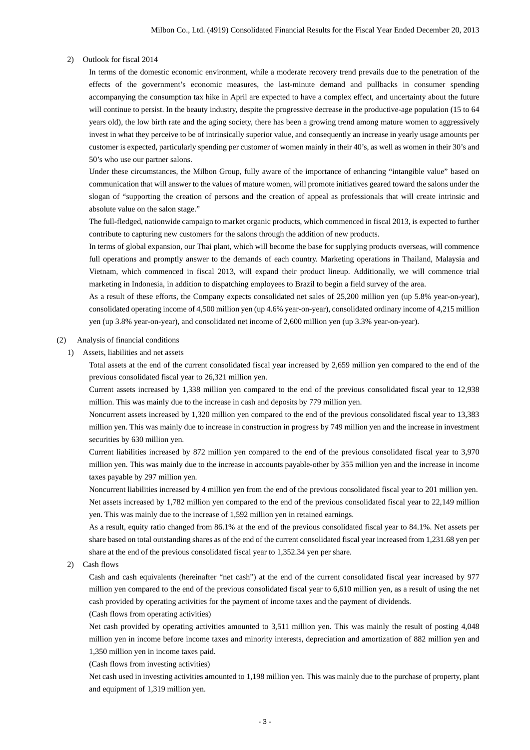### 2) Outlook for fiscal 2014

In terms of the domestic economic environment, while a moderate recovery trend prevails due to the penetration of the effects of the government's economic measures, the last-minute demand and pullbacks in consumer spending accompanying the consumption tax hike in April are expected to have a complex effect, and uncertainty about the future will continue to persist. In the beauty industry, despite the progressive decrease in the productive-age population (15 to 64 years old), the low birth rate and the aging society, there has been a growing trend among mature women to aggressively invest in what they perceive to be of intrinsically superior value, and consequently an increase in yearly usage amounts per customer is expected, particularly spending per customer of women mainly in their 40's, as well as women in their 30's and 50's who use our partner salons.

Under these circumstances, the Milbon Group, fully aware of the importance of enhancing "intangible value" based on communication that will answer to the values of mature women, will promote initiatives geared toward the salons under the slogan of "supporting the creation of persons and the creation of appeal as professionals that will create intrinsic and absolute value on the salon stage."

The full-fledged, nationwide campaign to market organic products, which commenced in fiscal 2013, is expected to further contribute to capturing new customers for the salons through the addition of new products.

In terms of global expansion, our Thai plant, which will become the base for supplying products overseas, will commence full operations and promptly answer to the demands of each country. Marketing operations in Thailand, Malaysia and Vietnam, which commenced in fiscal 2013, will expand their product lineup. Additionally, we will commence trial marketing in Indonesia, in addition to dispatching employees to Brazil to begin a field survey of the area.

As a result of these efforts, the Company expects consolidated net sales of 25,200 million yen (up 5.8% year-on-year), consolidated operating income of 4,500 million yen (up 4.6% year-on-year), consolidated ordinary income of 4,215 million yen (up 3.8% year-on-year), and consolidated net income of 2,600 million yen (up 3.3% year-on-year).

## (2) Analysis of financial conditions

1) Assets, liabilities and net assets

Total assets at the end of the current consolidated fiscal year increased by 2,659 million yen compared to the end of the previous consolidated fiscal year to 26,321 million yen.

Current assets increased by 1,338 million yen compared to the end of the previous consolidated fiscal year to 12,938 million. This was mainly due to the increase in cash and deposits by 779 million yen.

Noncurrent assets increased by 1,320 million yen compared to the end of the previous consolidated fiscal year to 13,383 million yen. This was mainly due to increase in construction in progress by 749 million yen and the increase in investment securities by 630 million yen.

Current liabilities increased by 872 million yen compared to the end of the previous consolidated fiscal year to 3,970 million yen. This was mainly due to the increase in accounts payable-other by 355 million yen and the increase in income taxes payable by 297 million yen.

Noncurrent liabilities increased by 4 million yen from the end of the previous consolidated fiscal year to 201 million yen. Net assets increased by 1,782 million yen compared to the end of the previous consolidated fiscal year to 22,149 million yen. This was mainly due to the increase of 1,592 million yen in retained earnings.

As a result, equity ratio changed from 86.1% at the end of the previous consolidated fiscal year to 84.1%. Net assets per share based on total outstanding shares as of the end of the current consolidated fiscal year increased from 1,231.68 yen per share at the end of the previous consolidated fiscal year to 1,352.34 yen per share.

2) Cash flows

Cash and cash equivalents (hereinafter "net cash") at the end of the current consolidated fiscal year increased by 977 million yen compared to the end of the previous consolidated fiscal year to 6,610 million yen, as a result of using the net cash provided by operating activities for the payment of income taxes and the payment of dividends.

(Cash flows from operating activities)

Net cash provided by operating activities amounted to 3,511 million yen. This was mainly the result of posting 4,048 million yen in income before income taxes and minority interests, depreciation and amortization of 882 million yen and 1,350 million yen in income taxes paid.

(Cash flows from investing activities)

Net cash used in investing activities amounted to 1,198 million yen. This was mainly due to the purchase of property, plant and equipment of 1,319 million yen.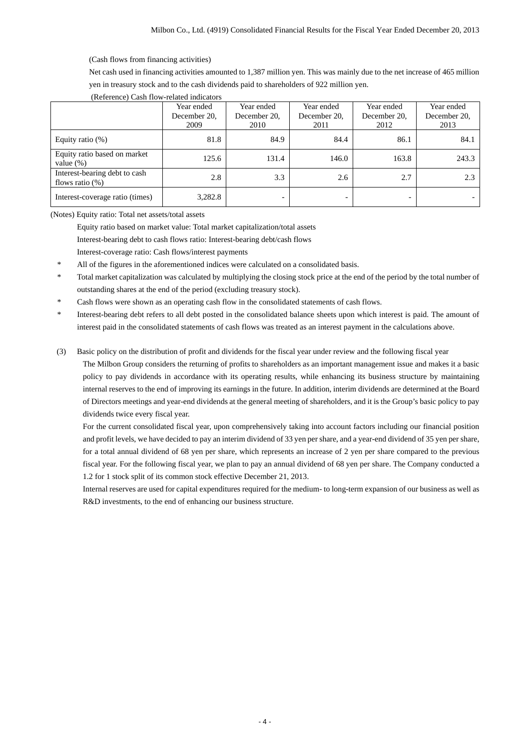(Cash flows from financing activities)

Net cash used in financing activities amounted to 1,387 million yen. This was mainly due to the net increase of 465 million yen in treasury stock and to the cash dividends paid to shareholders of 922 million yen.

|                                                     | Year ended<br>December 20.<br>2009 | Year ended<br>December 20.<br>2010 | Year ended<br>December 20,<br>2011 | Year ended<br>December 20.<br>2012 | Year ended<br>December 20,<br>2013 |
|-----------------------------------------------------|------------------------------------|------------------------------------|------------------------------------|------------------------------------|------------------------------------|
| Equity ratio $(\%)$                                 | 81.8                               | 84.9                               | 84.4                               | 86.1                               | 84.1                               |
| Equity ratio based on market<br>value $(\%)$        | 125.6                              | 131.4                              | 146.0                              | 163.8                              | 243.3                              |
| Interest-bearing debt to cash<br>flows ratio $(\%)$ | 2.8                                | 3.3                                | 2.6                                | 2.7                                | 2.3                                |
| Interest-coverage ratio (times)                     | 3,282.8                            | -                                  |                                    |                                    |                                    |

## (Reference) Cash flow-related indicators

(Notes) Equity ratio: Total net assets/total assets

Equity ratio based on market value: Total market capitalization/total assets

Interest-bearing debt to cash flows ratio: Interest-bearing debt/cash flows

Interest-coverage ratio: Cash flows/interest payments

- All of the figures in the aforementioned indices were calculated on a consolidated basis.
- \* Total market capitalization was calculated by multiplying the closing stock price at the end of the period by the total number of outstanding shares at the end of the period (excluding treasury stock).
- Cash flows were shown as an operating cash flow in the consolidated statements of cash flows.
- \* Interest-bearing debt refers to all debt posted in the consolidated balance sheets upon which interest is paid. The amount of interest paid in the consolidated statements of cash flows was treated as an interest payment in the calculations above.

## (3) Basic policy on the distribution of profit and dividends for the fiscal year under review and the following fiscal year

The Milbon Group considers the returning of profits to shareholders as an important management issue and makes it a basic policy to pay dividends in accordance with its operating results, while enhancing its business structure by maintaining internal reserves to the end of improving its earnings in the future. In addition, interim dividends are determined at the Board of Directors meetings and year-end dividends at the general meeting of shareholders, and it is the Group's basic policy to pay dividends twice every fiscal year.

For the current consolidated fiscal year, upon comprehensively taking into account factors including our financial position and profit levels, we have decided to pay an interim dividend of 33 yen per share, and a year-end dividend of 35 yen per share, for a total annual dividend of 68 yen per share, which represents an increase of 2 yen per share compared to the previous fiscal year. For the following fiscal year, we plan to pay an annual dividend of 68 yen per share. The Company conducted a 1.2 for 1 stock split of its common stock effective December 21, 2013.

Internal reserves are used for capital expenditures required for the medium- to long-term expansion of our business as well as R&D investments, to the end of enhancing our business structure.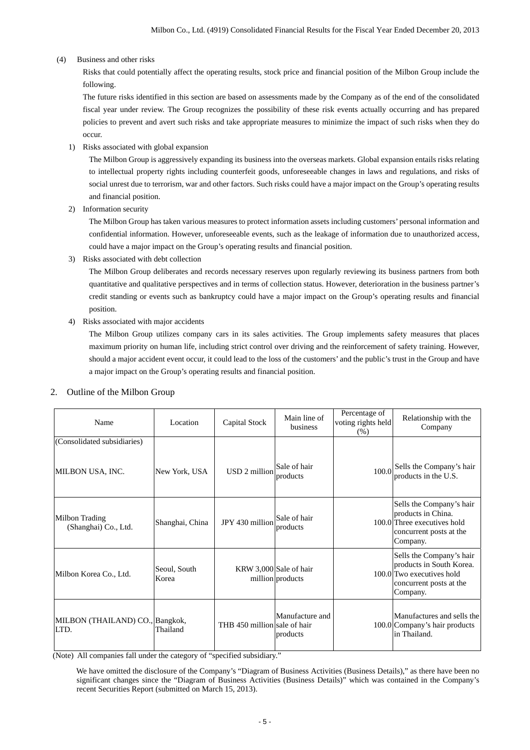(4) Business and other risks

Risks that could potentially affect the operating results, stock price and financial position of the Milbon Group include the following.

The future risks identified in this section are based on assessments made by the Company as of the end of the consolidated fiscal year under review. The Group recognizes the possibility of these risk events actually occurring and has prepared policies to prevent and avert such risks and take appropriate measures to minimize the impact of such risks when they do occur.

1) Risks associated with global expansion

The Milbon Group is aggressively expanding its business into the overseas markets. Global expansion entails risks relating to intellectual property rights including counterfeit goods, unforeseeable changes in laws and regulations, and risks of social unrest due to terrorism, war and other factors. Such risks could have a major impact on the Group's operating results and financial position.

2) Information security

The Milbon Group has taken various measures to protect information assets including customers' personal information and confidential information. However, unforeseeable events, such as the leakage of information due to unauthorized access, could have a major impact on the Group's operating results and financial position.

3) Risks associated with debt collection

The Milbon Group deliberates and records necessary reserves upon regularly reviewing its business partners from both quantitative and qualitative perspectives and in terms of collection status. However, deterioration in the business partner's credit standing or events such as bankruptcy could have a major impact on the Group's operating results and financial position.

4) Risks associated with major accidents

The Milbon Group utilizes company cars in its sales activities. The Group implements safety measures that places maximum priority on human life, including strict control over driving and the reinforcement of safety training. However, should a major accident event occur, it could lead to the loss of the customers' and the public's trust in the Group and have a major impact on the Group's operating results and financial position.

| Name                                    | Location              | Capital Stock                | Main line of<br>business                   | Percentage of<br>voting rights held<br>$(\% )$ | Relationship with the<br>Company                                                                                         |
|-----------------------------------------|-----------------------|------------------------------|--------------------------------------------|------------------------------------------------|--------------------------------------------------------------------------------------------------------------------------|
| (Consolidated subsidiaries)             |                       |                              |                                            |                                                |                                                                                                                          |
| MILBON USA, INC.                        | New York, USA         | USD 2 million                | Sale of hair<br>products                   |                                                | 100.0 Sells the Company's hair<br>products in the U.S.                                                                   |
| Milbon Trading<br>(Shanghai) Co., Ltd.  | Shanghai, China       | JPY 430 million              | Sale of hair<br>products                   |                                                | Sells the Company's hair<br>products in China.<br>100.0 Three executives hold<br>concurrent posts at the<br>Company.     |
| Milbon Korea Co., Ltd.                  | Seoul, South<br>Korea |                              | KRW 3,000 Sale of hair<br>million products |                                                | Sells the Company's hair<br>products in South Korea.<br>100.0 Two executives hold<br>concurrent posts at the<br>Company. |
| MILBON (THAILAND) CO., Bangkok,<br>LTD. | Thailand              | THB 450 million sale of hair | Manufacture and<br>products                |                                                | Manufactures and sells the<br>100.0 Company's hair products<br>in Thailand.                                              |

## 2. Outline of the Milbon Group

(Note) All companies fall under the category of "specified subsidiary."

We have omitted the disclosure of the Company's "Diagram of Business Activities (Business Details)," as there have been no significant changes since the "Diagram of Business Activities (Business Details)" which was contained in the Company's recent Securities Report (submitted on March 15, 2013).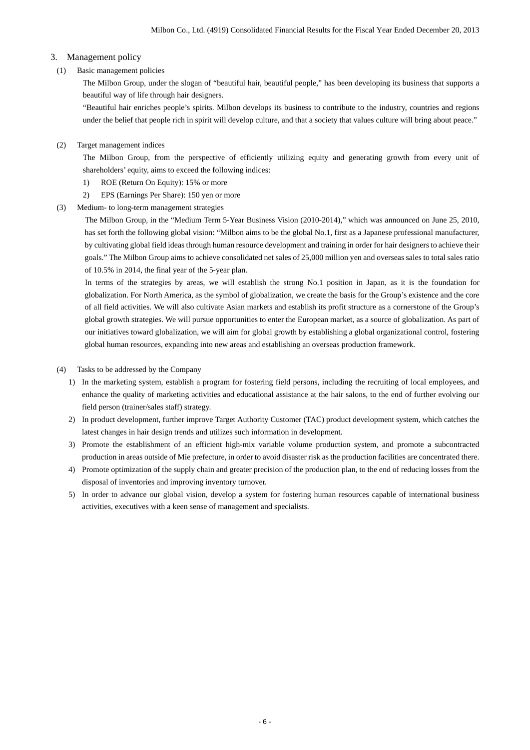# 3. Management policy

# (1) Basic management policies

The Milbon Group, under the slogan of "beautiful hair, beautiful people," has been developing its business that supports a beautiful way of life through hair designers.

"Beautiful hair enriches people's spirits. Milbon develops its business to contribute to the industry, countries and regions under the belief that people rich in spirit will develop culture, and that a society that values culture will bring about peace."

## (2) Target management indices

The Milbon Group, from the perspective of efficiently utilizing equity and generating growth from every unit of shareholders' equity, aims to exceed the following indices:

- 1) ROE (Return On Equity): 15% or more
- 2) EPS (Earnings Per Share): 150 yen or more
- (3) Medium- to long-term management strategies

The Milbon Group, in the "Medium Term 5-Year Business Vision (2010-2014)," which was announced on June 25, 2010, has set forth the following global vision: "Milbon aims to be the global No.1, first as a Japanese professional manufacturer, by cultivating global field ideas through human resource development and training in order for hair designers to achieve their goals." The Milbon Group aims to achieve consolidated net sales of 25,000 million yen and overseas sales to total sales ratio of 10.5% in 2014, the final year of the 5-year plan.

In terms of the strategies by areas, we will establish the strong No.1 position in Japan, as it is the foundation for globalization. For North America, as the symbol of globalization, we create the basis for the Group's existence and the core of all field activities. We will also cultivate Asian markets and establish its profit structure as a cornerstone of the Group's global growth strategies. We will pursue opportunities to enter the European market, as a source of globalization. As part of our initiatives toward globalization, we will aim for global growth by establishing a global organizational control, fostering global human resources, expanding into new areas and establishing an overseas production framework.

- (4) Tasks to be addressed by the Company
	- 1) In the marketing system, establish a program for fostering field persons, including the recruiting of local employees, and enhance the quality of marketing activities and educational assistance at the hair salons, to the end of further evolving our field person (trainer/sales staff) strategy.
	- 2) In product development, further improve Target Authority Customer (TAC) product development system, which catches the latest changes in hair design trends and utilizes such information in development.
	- 3) Promote the establishment of an efficient high-mix variable volume production system, and promote a subcontracted production in areas outside of Mie prefecture, in order to avoid disaster risk as the production facilities are concentrated there.
	- 4) Promote optimization of the supply chain and greater precision of the production plan, to the end of reducing losses from the disposal of inventories and improving inventory turnover.
	- 5) In order to advance our global vision, develop a system for fostering human resources capable of international business activities, executives with a keen sense of management and specialists.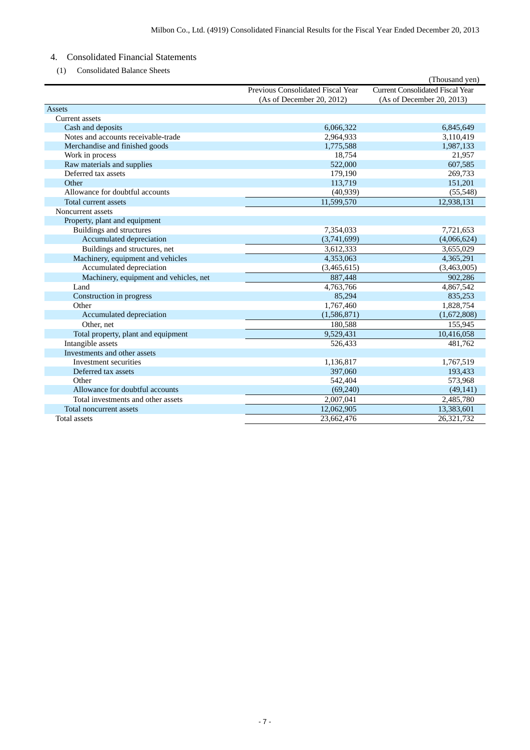# 4. Consolidated Financial Statements

(1) Consolidated Balance Sheets

|                                        |                                   | (Thousand yen)                          |
|----------------------------------------|-----------------------------------|-----------------------------------------|
|                                        | Previous Consolidated Fiscal Year | <b>Current Consolidated Fiscal Year</b> |
|                                        | (As of December 20, 2012)         | (As of December 20, 2013)               |
| Assets                                 |                                   |                                         |
| <b>Current</b> assets                  |                                   |                                         |
| Cash and deposits                      | 6,066,322                         | 6,845,649                               |
| Notes and accounts receivable-trade    | 2,964,933                         | 3,110,419                               |
| Merchandise and finished goods         | 1,775,588                         | 1,987,133                               |
| Work in process                        | 18,754                            | 21,957                                  |
| Raw materials and supplies             | 522,000                           | 607,585                                 |
| Deferred tax assets                    | 179,190                           | 269,733                                 |
| Other                                  | 113,719                           | 151,201                                 |
| Allowance for doubtful accounts        | (40, 939)                         | (55,548)                                |
| Total current assets                   | 11,599,570                        | 12,938,131                              |
| Noncurrent assets                      |                                   |                                         |
| Property, plant and equipment          |                                   |                                         |
| Buildings and structures               | 7,354,033                         | 7,721,653                               |
| Accumulated depreciation               | (3,741,699)                       | (4,066,624)                             |
| Buildings and structures, net          | 3,612,333                         | 3,655,029                               |
| Machinery, equipment and vehicles      | 4,353,063                         | 4,365,291                               |
| Accumulated depreciation               | (3,465,615)                       | (3,463,005)                             |
| Machinery, equipment and vehicles, net | 887,448                           | 902,286                                 |
| Land                                   | 4,763,766                         | 4,867,542                               |
| Construction in progress               | 85,294                            | 835,253                                 |
| Other                                  | 1,767,460                         | 1,828,754                               |
| Accumulated depreciation               | (1,586,871)                       | (1,672,808)                             |
| Other, net                             | 180,588                           | 155,945                                 |
| Total property, plant and equipment    | 9,529,431                         | 10,416,058                              |
| Intangible assets                      | 526,433                           | 481,762                                 |
| Investments and other assets           |                                   |                                         |
| Investment securities                  | 1,136,817                         | 1,767,519                               |
| Deferred tax assets                    | 397,060                           | 193,433                                 |
| Other                                  | 542,404                           | 573,968                                 |
| Allowance for doubtful accounts        | (69,240)                          | (49, 141)                               |
| Total investments and other assets     | 2,007,041                         | 2,485,780                               |
| Total noncurrent assets                | 12,062,905                        | 13,383,601                              |
| <b>Total assets</b>                    | 23.662.476                        | 26.321.732                              |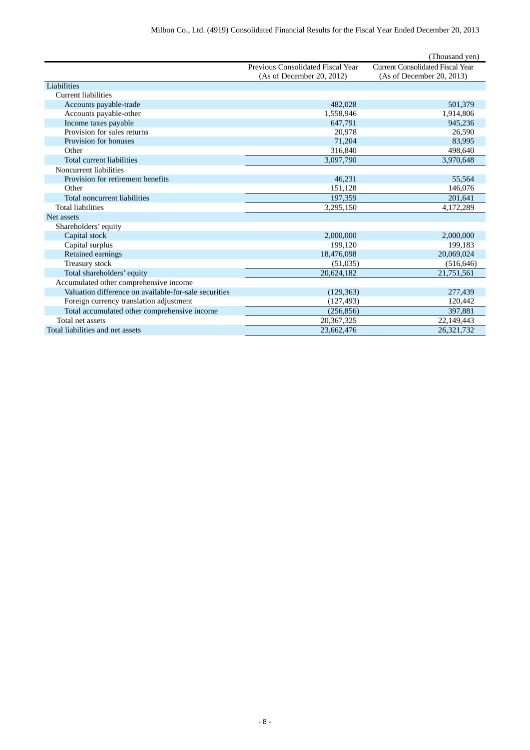|                                                       |                                   | (Thousand yen)                          |
|-------------------------------------------------------|-----------------------------------|-----------------------------------------|
|                                                       | Previous Consolidated Fiscal Year | <b>Current Consolidated Fiscal Year</b> |
|                                                       | (As of December 20, 2012)         | (As of December 20, 2013)               |
| Liabilities                                           |                                   |                                         |
| <b>Current liabilities</b>                            |                                   |                                         |
| Accounts payable-trade                                | 482,028                           | 501,379                                 |
| Accounts payable-other                                | 1,558,946                         | 1,914,806                               |
| Income taxes payable                                  | 647.791                           | 945.236                                 |
| Provision for sales returns                           | 20,978                            | 26,590                                  |
| Provision for bonuses                                 | 71,204                            | 83,995                                  |
| Other                                                 | 316,840                           | 498,640                                 |
| Total current liabilities                             | 3,097,790                         | 3,970,648                               |
| Noncurrent liabilities                                |                                   |                                         |
| Provision for retirement benefits                     | 46,231                            | 55,564                                  |
| Other                                                 | 151,128                           | 146,076                                 |
| Total noncurrent liabilities                          | 197,359                           | 201,641                                 |
| <b>Total liabilities</b>                              | 3,295,150                         | 4,172,289                               |
| Net assets                                            |                                   |                                         |
| Shareholders' equity                                  |                                   |                                         |
| Capital stock                                         | 2,000,000                         | 2,000,000                               |
| Capital surplus                                       | 199,120                           | 199,183                                 |
| Retained earnings                                     | 18,476,098                        | 20,069,024                              |
| Treasury stock                                        | (51,035)                          | (516, 646)                              |
| Total shareholders' equity                            | 20,624,182                        | 21,751,561                              |
| Accumulated other comprehensive income                |                                   |                                         |
| Valuation difference on available-for-sale securities | (129, 363)                        | 277,439                                 |
| Foreign currency translation adjustment               | (127, 493)                        | 120,442                                 |
| Total accumulated other comprehensive income          | (256, 856)                        | 397,881                                 |
| Total net assets                                      | 20, 367, 325                      | 22,149,443                              |
| Total liabilities and net assets                      | 23,662,476                        | 26,321,732                              |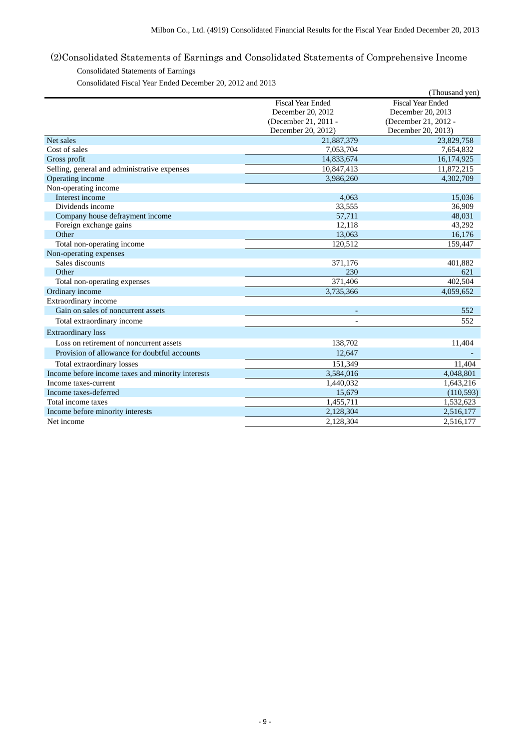# (2)Consolidated Statements of Earnings and Consolidated Statements of Comprehensive Income

# Consolidated Statements of Earnings

Consolidated Fiscal Year Ended December 20, 2012 and 2013

|                                                   |                            | (Thousand yen)           |
|---------------------------------------------------|----------------------------|--------------------------|
|                                                   | <b>Fiscal Year Ended</b>   | <b>Fiscal Year Ended</b> |
|                                                   | December 20, 2012          | December 20, 2013        |
|                                                   | (December 21, 2011 -       | (December 21, 2012 -     |
|                                                   | December 20, 2012)         | December 20, 2013)       |
| Net sales                                         | 21,887,379                 | 23,829,758               |
| Cost of sales                                     | 7,053,704                  | 7,654,832                |
| Gross profit                                      | 14,833,674                 | 16,174,925               |
| Selling, general and administrative expenses      | $\overline{10}$ , 847, 413 | 11,872,215               |
| Operating income                                  | 3,986,260                  | 4,302,709                |
| Non-operating income                              |                            |                          |
| Interest income                                   | 4,063                      | 15,036                   |
| Dividends income                                  | 33,555                     | 36,909                   |
| Company house defrayment income                   | 57,711                     | 48,031                   |
| Foreign exchange gains                            | 12,118                     | 43,292                   |
| Other                                             | 13,063                     | 16,176                   |
| Total non-operating income                        | 120,512                    | 159,447                  |
| Non-operating expenses                            |                            |                          |
| Sales discounts                                   | 371,176                    | 401,882                  |
| Other                                             | 230                        | 621                      |
| Total non-operating expenses                      | 371,406                    | 402,504                  |
| Ordinary income                                   | 3,735,366                  | 4,059,652                |
| Extraordinary income                              |                            |                          |
| Gain on sales of noncurrent assets                | $\overline{\phantom{a}}$   | 552                      |
| Total extraordinary income                        |                            | 552                      |
| <b>Extraordinary</b> loss                         |                            |                          |
| Loss on retirement of noncurrent assets           | 138,702                    | 11,404                   |
| Provision of allowance for doubtful accounts      | 12,647                     |                          |
| Total extraordinary losses                        | 151,349                    | 11,404                   |
| Income before income taxes and minority interests | 3,584,016                  | 4,048,801                |
| Income taxes-current                              | 1,440,032                  | 1,643,216                |
| Income taxes-deferred                             | 15,679                     | (110, 593)               |
| Total income taxes                                | 1,455,711                  | 1,532,623                |
| Income before minority interests                  | 2,128,304                  | 2,516,177                |
| Net income                                        | 2.128.304                  | 2,516,177                |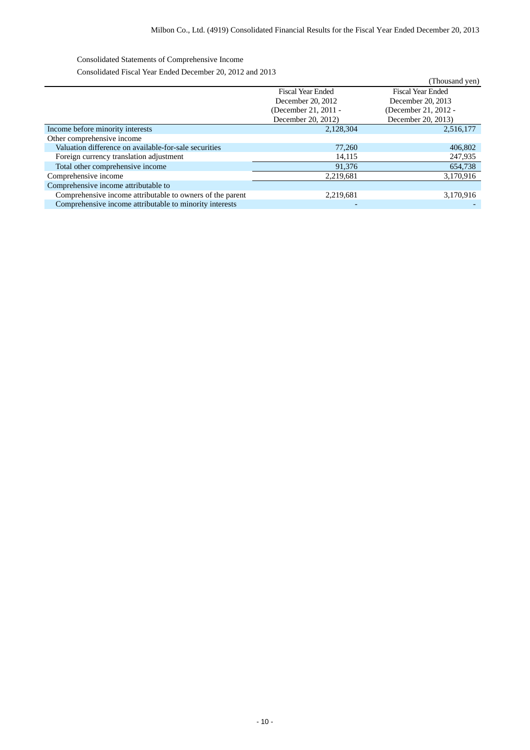Consolidated Statements of Comprehensive Income

Consolidated Fiscal Year Ended December 20, 2012 and 2013

|                                                           |                          | (Thousand yen)           |
|-----------------------------------------------------------|--------------------------|--------------------------|
|                                                           | <b>Fiscal Year Ended</b> | <b>Fiscal Year Ended</b> |
|                                                           | December 20, 2012        | December 20, 2013        |
|                                                           | (December 21, 2011 -     | (December 21, 2012 -     |
|                                                           | December 20, 2012)       | December 20, 2013)       |
| Income before minority interests                          | 2,128,304                | 2,516,177                |
| Other comprehensive income                                |                          |                          |
| Valuation difference on available-for-sale securities     | 77,260                   | 406,802                  |
| Foreign currency translation adjustment                   | 14,115                   | 247,935                  |
| Total other comprehensive income                          | 91,376                   | 654,738                  |
| Comprehensive income                                      | 2,219,681                | 3,170,916                |
| Comprehensive income attributable to                      |                          |                          |
| Comprehensive income attributable to owners of the parent | 2,219,681                | 3,170,916                |
| Comprehensive income attributable to minority interests   | $\overline{a}$           |                          |
|                                                           |                          |                          |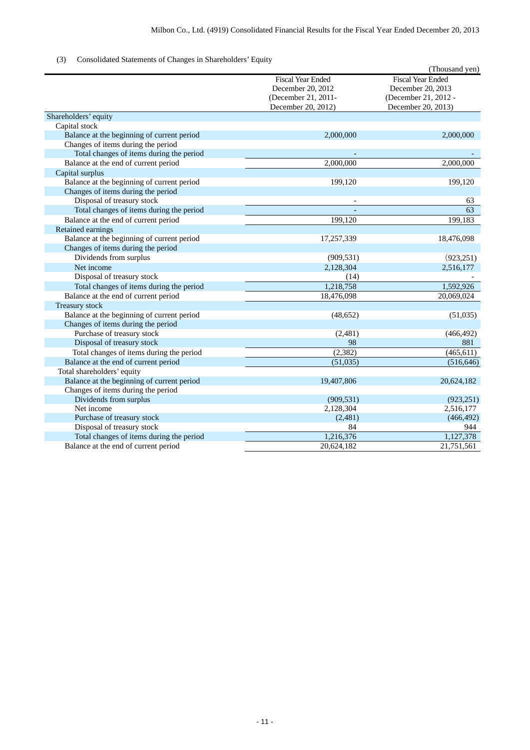# (3) Consolidated Statements of Changes in Shareholders' Equity

|                                            |                                                                                            | (Thousand yen)                                                                              |
|--------------------------------------------|--------------------------------------------------------------------------------------------|---------------------------------------------------------------------------------------------|
|                                            | <b>Fiscal Year Ended</b><br>December 20, 2012<br>(December 21, 2011-<br>December 20, 2012) | <b>Fiscal Year Ended</b><br>December 20, 2013<br>(December 21, 2012 -<br>December 20, 2013) |
| Shareholders' equity                       |                                                                                            |                                                                                             |
| Capital stock                              |                                                                                            |                                                                                             |
| Balance at the beginning of current period | 2,000,000                                                                                  | 2,000,000                                                                                   |
| Changes of items during the period         |                                                                                            |                                                                                             |
| Total changes of items during the period   |                                                                                            |                                                                                             |
| Balance at the end of current period       | 2,000,000                                                                                  | 2,000,000                                                                                   |
| Capital surplus                            |                                                                                            |                                                                                             |
| Balance at the beginning of current period | 199,120                                                                                    | 199,120                                                                                     |
| Changes of items during the period         |                                                                                            |                                                                                             |
| Disposal of treasury stock                 |                                                                                            | 63                                                                                          |
| Total changes of items during the period   |                                                                                            | 63                                                                                          |
| Balance at the end of current period       | 199,120                                                                                    | 199,183                                                                                     |
| Retained earnings                          |                                                                                            |                                                                                             |
| Balance at the beginning of current period | 17,257,339                                                                                 | 18,476,098                                                                                  |
| Changes of items during the period         |                                                                                            |                                                                                             |
| Dividends from surplus                     | (909, 531)                                                                                 | (923, 251)                                                                                  |
| Net income                                 | 2,128,304                                                                                  | 2,516,177                                                                                   |
| Disposal of treasury stock                 | (14)                                                                                       |                                                                                             |
| Total changes of items during the period   | 1,218,758                                                                                  | 1,592,926                                                                                   |
| Balance at the end of current period       | 18,476,098                                                                                 | 20,069,024                                                                                  |
| Treasury stock                             |                                                                                            |                                                                                             |
| Balance at the beginning of current period | (48, 652)                                                                                  | (51,035)                                                                                    |
| Changes of items during the period         |                                                                                            |                                                                                             |
| Purchase of treasury stock                 | (2,481)                                                                                    | (466, 492)                                                                                  |
| Disposal of treasury stock                 | 98                                                                                         | 881                                                                                         |
| Total changes of items during the period   | (2, 382)                                                                                   | (465, 611)                                                                                  |
| Balance at the end of current period       | (51,035)                                                                                   | (516, 646)                                                                                  |
| Total shareholders' equity                 |                                                                                            |                                                                                             |
| Balance at the beginning of current period | 19,407,806                                                                                 | 20,624,182                                                                                  |
| Changes of items during the period         |                                                                                            |                                                                                             |
| Dividends from surplus                     | (909, 531)                                                                                 | (923, 251)                                                                                  |
| Net income                                 | 2,128,304                                                                                  | 2,516,177                                                                                   |
| Purchase of treasury stock                 | (2,481)                                                                                    | (466, 492)                                                                                  |
| Disposal of treasury stock                 | 84                                                                                         | 944                                                                                         |
| Total changes of items during the period   | 1,216,376                                                                                  | 1,127,378                                                                                   |
| Balance at the end of current period       | 20,624,182                                                                                 | 21,751,561                                                                                  |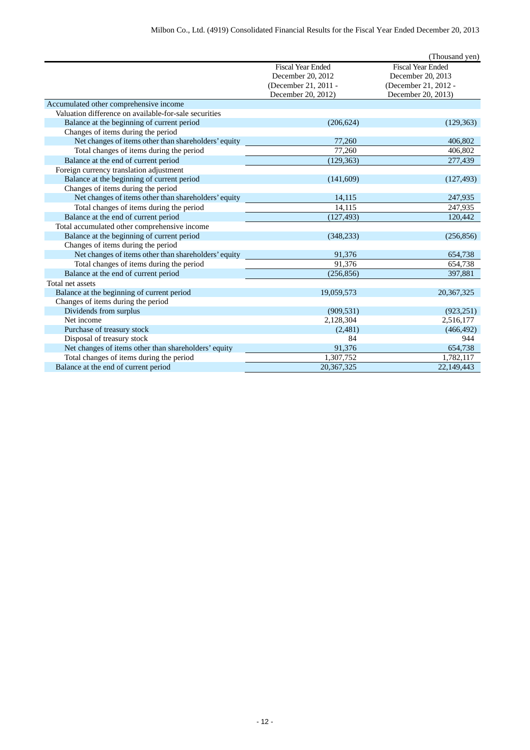|                                                       |                          | (Thousand yen)           |
|-------------------------------------------------------|--------------------------|--------------------------|
|                                                       | <b>Fiscal Year Ended</b> | <b>Fiscal Year Ended</b> |
|                                                       | December 20, 2012        | December 20, 2013        |
|                                                       | (December 21, 2011 -     | (December 21, 2012 -     |
|                                                       | December 20, 2012)       | December 20, 2013)       |
| Accumulated other comprehensive income                |                          |                          |
| Valuation difference on available-for-sale securities |                          |                          |
| Balance at the beginning of current period            | (206, 624)               | (129, 363)               |
| Changes of items during the period                    |                          |                          |
| Net changes of items other than shareholders' equity  | 77,260                   | 406,802                  |
| Total changes of items during the period              | 77,260                   | 406,802                  |
| Balance at the end of current period                  | (129, 363)               | 277,439                  |
| Foreign currency translation adjustment               |                          |                          |
| Balance at the beginning of current period            | (141,609)                | (127, 493)               |
| Changes of items during the period                    |                          |                          |
| Net changes of items other than shareholders' equity  | 14,115                   | 247,935                  |
| Total changes of items during the period              | 14.115                   | 247,935                  |
| Balance at the end of current period                  | (127, 493)               | 120,442                  |
| Total accumulated other comprehensive income          |                          |                          |
| Balance at the beginning of current period            | (348, 233)               | (256, 856)               |
| Changes of items during the period                    |                          |                          |
| Net changes of items other than shareholders' equity  | 91,376                   | 654,738                  |
| Total changes of items during the period              | 91,376                   | 654,738                  |
| Balance at the end of current period                  | (256, 856)               | 397,881                  |
| Total net assets                                      |                          |                          |
| Balance at the beginning of current period            | 19,059,573               | 20, 367, 325             |
| Changes of items during the period                    |                          |                          |
| Dividends from surplus                                | (909, 531)               | (923, 251)               |
| Net income                                            | 2,128,304                | 2,516,177                |
| Purchase of treasury stock                            | (2,481)                  | (466, 492)               |
| Disposal of treasury stock                            | 84                       | 944                      |
| Net changes of items other than shareholders' equity  | 91,376                   | 654,738                  |
| Total changes of items during the period              | 1,307,752                | 1,782,117                |
| Balance at the end of current period                  | 20,367,325               | 22,149,443               |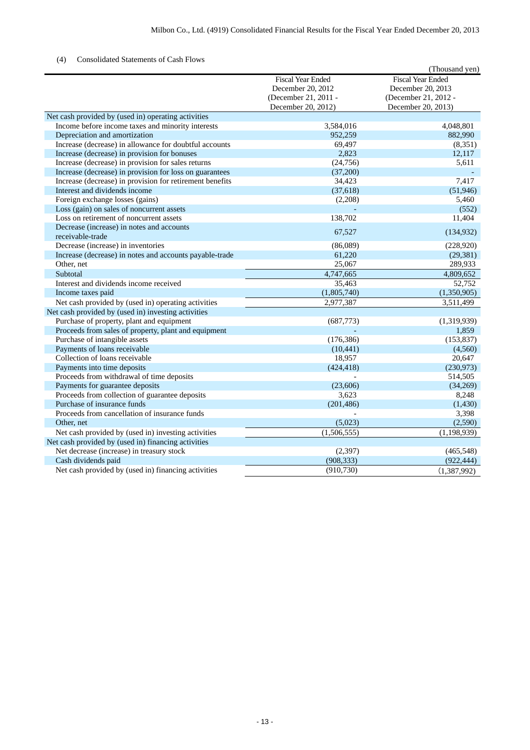# (4) Consolidated Statements of Cash Flows

|                                                          |                          | (Thousand yen)           |
|----------------------------------------------------------|--------------------------|--------------------------|
|                                                          | <b>Fiscal Year Ended</b> | <b>Fiscal Year Ended</b> |
|                                                          | December 20, 2012        | December 20, 2013        |
|                                                          | (December 21, 2011 -     | (December 21, 2012 -     |
|                                                          | December 20, 2012)       | December 20, 2013)       |
| Net cash provided by (used in) operating activities      |                          |                          |
| Income before income taxes and minority interests        | 3,584,016                | 4,048,801                |
| Depreciation and amortization                            | 952.259                  | 882,990                  |
| Increase (decrease) in allowance for doubtful accounts   | 69,497                   | (8,351)                  |
| Increase (decrease) in provision for bonuses             | 2,823                    | 12,117                   |
| Increase (decrease) in provision for sales returns       | (24, 756)                | 5,611                    |
| Increase (decrease) in provision for loss on guarantees  | (37,200)                 |                          |
| Increase (decrease) in provision for retirement benefits | 34,423                   | 7,417                    |
| Interest and dividends income                            | (37, 618)                | (51, 946)                |
| Foreign exchange losses (gains)                          | (2,208)                  | 5,460                    |
| Loss (gain) on sales of noncurrent assets                |                          | (552)                    |
| Loss on retirement of noncurrent assets                  | 138,702                  | 11,404                   |
| Decrease (increase) in notes and accounts                | 67,527                   | (134, 932)               |
| receivable-trade                                         |                          |                          |
| Decrease (increase) in inventories                       | (86,089)                 | (228,920)                |
| Increase (decrease) in notes and accounts payable-trade  | 61,220                   | (29, 381)                |
| Other, net                                               | 25,067                   | 289,933                  |
| Subtotal                                                 | 4,747,665                | 4,809,652                |
| Interest and dividends income received                   | 35,463                   | 52,752                   |
| Income taxes paid                                        | (1,805,740)              | (1,350,905)              |
| Net cash provided by (used in) operating activities      | 2,977,387                | 3,511,499                |
| Net cash provided by (used in) investing activities      |                          |                          |
| Purchase of property, plant and equipment                | (687,773)                | (1,319,939)              |
| Proceeds from sales of property, plant and equipment     |                          | 1,859                    |
| Purchase of intangible assets                            | (176, 386)               | (153, 837)               |
| Payments of loans receivable                             | (10, 441)                | (4,560)                  |
| Collection of loans receivable                           | 18,957                   | 20,647                   |
| Payments into time deposits                              | (424, 418)               | (230,973)                |
| Proceeds from withdrawal of time deposits                |                          | 514,505                  |
| Payments for guarantee deposits                          | (23,606)                 | (34,269)                 |
| Proceeds from collection of guarantee deposits           | 3,623                    | 8,248                    |
| Purchase of insurance funds                              | (201, 486)               | (1, 430)                 |
| Proceeds from cancellation of insurance funds            |                          | 3,398                    |
| Other, net                                               | (5,023)                  | (2,590)                  |
| Net cash provided by (used in) investing activities      | (1,506,555)              | (1, 198, 939)            |
| Net cash provided by (used in) financing activities      |                          |                          |
| Net decrease (increase) in treasury stock                | (2,397)                  | (465, 548)               |
| Cash dividends paid                                      | (908, 333)               | (922, 444)               |
| Net cash provided by (used in) financing activities      | (910, 730)               | (1,387,992)              |